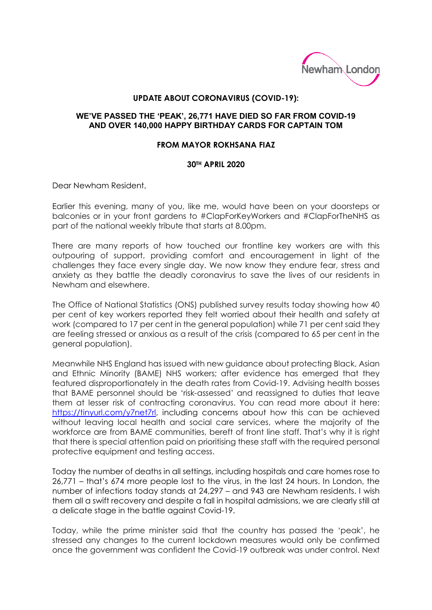

## **UPDATE ABOUT CORONAVIRUS (COVID-19):**

## **WE'VE PASSED THE 'PEAK', 26,771 HAVE DIED SO FAR FROM COVID-19 AND OVER 140,000 HAPPY BIRTHDAY CARDS FOR CAPTAIN TOM**

## **FROM MAYOR ROKHSANA FIAZ**

## **30TH APRIL 2020**

Dear Newham Resident,

Earlier this evening, many of you, like me, would have been on your doorsteps or balconies or in your front gardens to #ClapForKeyWorkers and #ClapForTheNHS as part of the national weekly tribute that starts at 8.00pm.

There are many reports of how touched our frontline key workers are with this outpouring of support, providing comfort and encouragement in light of the challenges they face every single day. We now know they endure fear, stress and anxiety as they battle the deadly coronavirus to save the lives of our residents in Newham and elsewhere.

The Office of National Statistics (ONS) published survey results today showing how 40 per cent of key workers reported they felt worried about their health and safety at work (compared to 17 per cent in the general population) while 71 per cent said they are feeling stressed or anxious as a result of the crisis (compared to 65 per cent in the general population).

Meanwhile NHS England has issued with new guidance about protecting Black, Asian and Ethnic Minority (BAME) NHS workers; after evidence has emerged that they featured disproportionately in the death rates from Covid-19. Advising health bosses that BAME personnel should be 'risk-assessed' and reassigned to duties that leave them at lesser risk of contracting coronavirus. You can read more about it here: [https://tinyurl.com/y7net7rl,](https://tinyurl.com/y7net7rl) including concerns about how this can be achieved without leaving local health and social care services, where the majority of the workforce are from BAME communities, bereft of front line staff. That's why it is right that there is special attention paid on prioritising these staff with the required personal protective equipment and testing access.

Today the number of deaths in all settings, including hospitals and care homes rose to 26,771 – that's 674 more people lost to the virus, in the last 24 hours. In London, the number of infections today stands at 24,297 – and 943 are Newham residents. I wish them all a swift recovery and despite a fall in hospital admissions, we are clearly still at a delicate stage in the battle against Covid-19.

Today, while the prime minister said that the country has passed the 'peak', he stressed any changes to the current lockdown measures would only be confirmed once the government was confident the Covid-19 outbreak was under control. Next